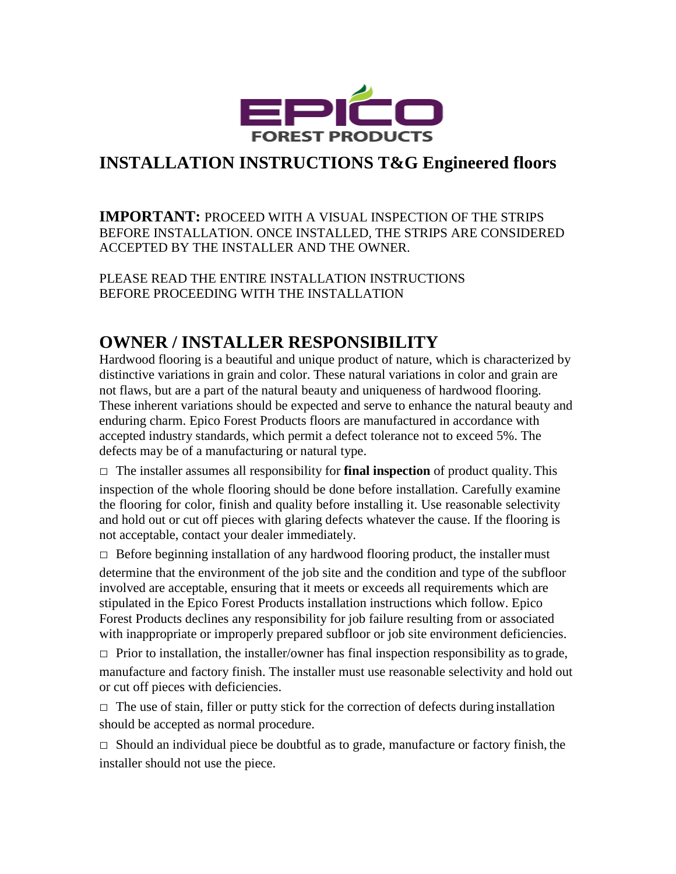

## **INSTALLATION INSTRUCTIONS T&G Engineered floors**

**IMPORTANT:** PROCEED WITH A VISUAL INSPECTION OF THE STRIPS BEFORE INSTALLATION. ONCE INSTALLED, THE STRIPS ARE CONSIDERED ACCEPTED BY THE INSTALLER AND THE OWNER.

PLEASE READ THE ENTIRE INSTALLATION INSTRUCTIONS BEFORE PROCEEDING WITH THE INSTALLATION

# **OWNER / INSTALLER RESPONSIBILITY**

Hardwood flooring is a beautiful and unique product of nature, which is characterized by distinctive variations in grain and color. These natural variations in color and grain are not flaws, but are a part of the natural beauty and uniqueness of hardwood flooring. These inherent variations should be expected and serve to enhance the natural beauty and enduring charm. Epico Forest Products floors are manufactured in accordance with accepted industry standards, which permit a defect tolerance not to exceed 5%. The defects may be of a manufacturing or natural type.

□ The installer assumes all responsibility for **final inspection** of product quality.This inspection of the whole flooring should be done before installation. Carefully examine the flooring for color, finish and quality before installing it. Use reasonable selectivity and hold out or cut off pieces with glaring defects whatever the cause. If the flooring is not acceptable, contact your dealer immediately.

 $\Box$  Before beginning installation of any hardwood flooring product, the installer must determine that the environment of the job site and the condition and type of the subfloor involved are acceptable, ensuring that it meets or exceeds all requirements which are stipulated in the Epico Forest Products installation instructions which follow. Epico Forest Products declines any responsibility for job failure resulting from or associated with inappropriate or improperly prepared subfloor or job site environment deficiencies.

 $\Box$  Prior to installation, the installer/owner has final inspection responsibility as to grade, manufacture and factory finish. The installer must use reasonable selectivity and hold out or cut off pieces with deficiencies.

 $\Box$  The use of stain, filler or putty stick for the correction of defects during installation should be accepted as normal procedure.

 $\Box$  Should an individual piece be doubtful as to grade, manufacture or factory finish, the installer should not use the piece.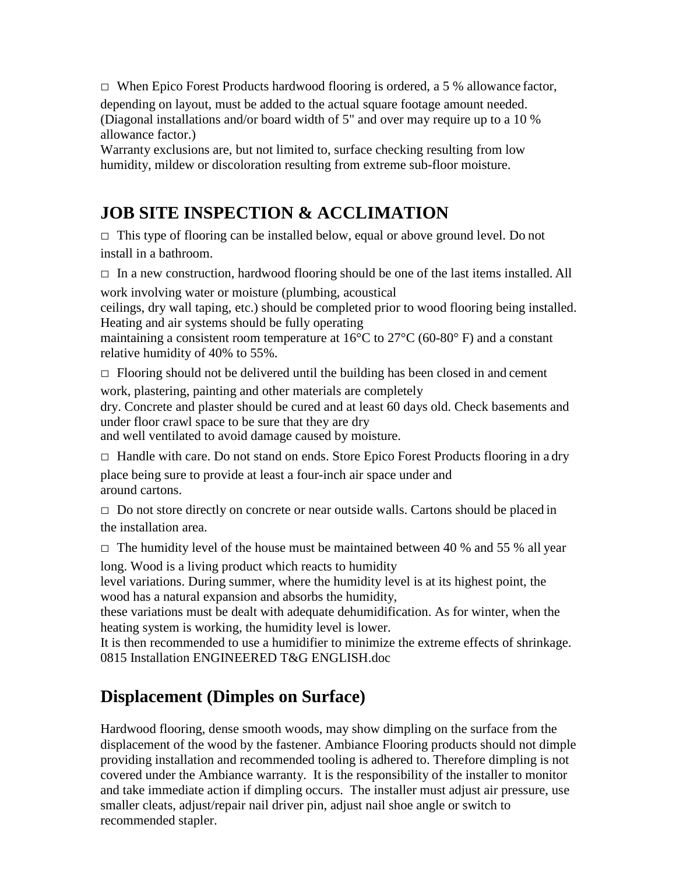$\Box$  When Epico Forest Products hardwood flooring is ordered, a 5 % allowance factor,

depending on layout, must be added to the actual square footage amount needed. (Diagonal installations and/or board width of 5" and over may require up to a 10 % allowance factor.)

Warranty exclusions are, but not limited to, surface checking resulting from low humidity, mildew or discoloration resulting from extreme sub-floor moisture.

# **JOB SITE INSPECTION & ACCLIMATION**

 $\Box$  This type of flooring can be installed below, equal or above ground level. Do not install in a bathroom.

 $\Box$  In a new construction, hardwood flooring should be one of the last items installed. All work involving water or moisture (plumbing, acoustical

ceilings, dry wall taping, etc.) should be completed prior to wood flooring being installed. Heating and air systems should be fully operating

maintaining a consistent room temperature at 16°C to 27°C (60-80° F) and a constant relative humidity of 40% to 55%.

 $\Box$  Flooring should not be delivered until the building has been closed in and cement work, plastering, painting and other materials are completely

dry. Concrete and plaster should be cured and at least 60 days old. Check basements and under floor crawl space to be sure that they are dry

and well ventilated to avoid damage caused by moisture.

 $\Box$  Handle with care. Do not stand on ends. Store Epico Forest Products flooring in a dry

place being sure to provide at least a four-inch air space under and around cartons.

 $\Box$  Do not store directly on concrete or near outside walls. Cartons should be placed in the installation area.

 $\Box$  The humidity level of the house must be maintained between 40 % and 55 % all year

long. Wood is a living product which reacts to humidity

level variations. During summer, where the humidity level is at its highest point, the wood has a natural expansion and absorbs the humidity,

these variations must be dealt with adequate dehumidification. As for winter, when the heating system is working, the humidity level is lower.

It is then recommended to use a humidifier to minimize the extreme effects of shrinkage. 0815 Installation ENGINEERED T&G ENGLISH.doc

# **Displacement (Dimples on Surface)**

Hardwood flooring, dense smooth woods, may show dimpling on the surface from the displacement of the wood by the fastener. Ambiance Flooring products should not dimple providing installation and recommended tooling is adhered to. Therefore dimpling is not covered under the Ambiance warranty. It is the responsibility of the installer to monitor and take immediate action if dimpling occurs. The installer must adjust air pressure, use smaller cleats, adjust/repair nail driver pin, adjust nail shoe angle or switch to recommended stapler.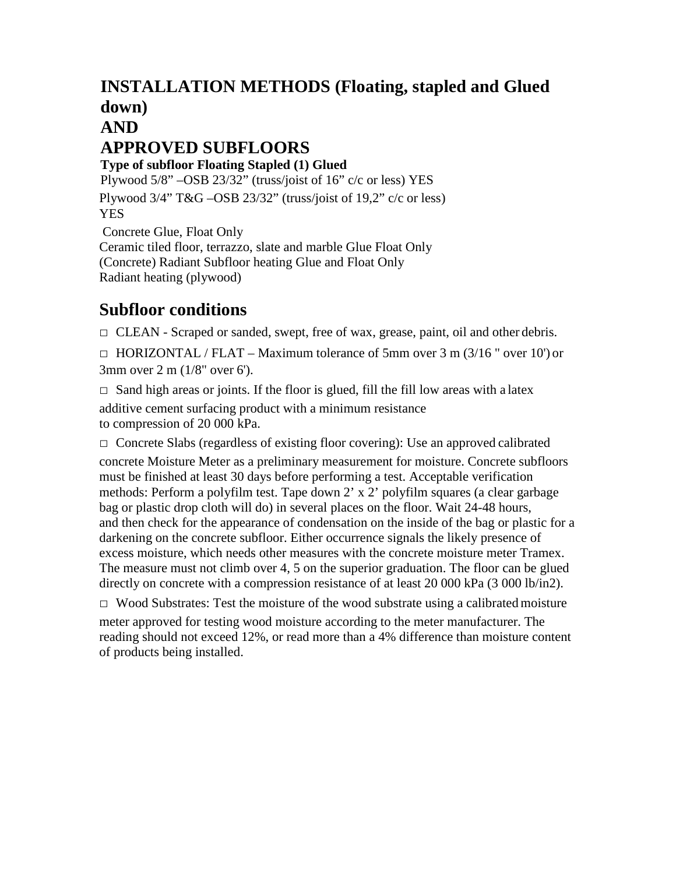# **INSTALLATION METHODS (Floating, stapled and Glued down)**

### **AND**

# **APPROVED SUBFLOORS**

**Type of subfloor Floating Stapled (1) Glued**

Plywood 5/8" –OSB 23/32" (truss/joist of 16" c/c or less) YES Plywood 3/4" T&G –OSB 23/32" (truss/joist of 19,2" c/c or less) YES Concrete Glue, Float Only

Ceramic tiled floor, terrazzo, slate and marble Glue Float Only (Concrete) Radiant Subfloor heating Glue and Float Only Radiant heating (plywood)

# **Subfloor conditions**

□ CLEAN - Scraped or sanded, swept, free of wax, grease, paint, oil and other debris.

 $\Box$  HORIZONTAL / FLAT – Maximum tolerance of 5mm over 3 m (3/16 " over 10") or 3mm over 2 m (1/8" over 6').

 $\Box$  Sand high areas or joints. If the floor is glued, fill the fill low areas with a latex additive cement surfacing product with a minimum resistance to compression of 20 000 kPa.

 $\Box$  Concrete Slabs (regardless of existing floor covering): Use an approved calibrated concrete Moisture Meter as a preliminary measurement for moisture. Concrete subfloors must be finished at least 30 days before performing a test. Acceptable verification methods: Perform a polyfilm test. Tape down 2' x 2' polyfilm squares (a clear garbage bag or plastic drop cloth will do) in several places on the floor. Wait 24-48 hours, and then check for the appearance of condensation on the inside of the bag or plastic for a darkening on the concrete subfloor. Either occurrence signals the likely presence of excess moisture, which needs other measures with the concrete moisture meter Tramex. The measure must not climb over 4, 5 on the superior graduation. The floor can be glued directly on concrete with a compression resistance of at least 20 000 kPa (3 000 lb/in2).

 $\Box$  Wood Substrates: Test the moisture of the wood substrate using a calibrated moisture meter approved for testing wood moisture according to the meter manufacturer. The reading should not exceed 12%, or read more than a 4% difference than moisture content of products being installed.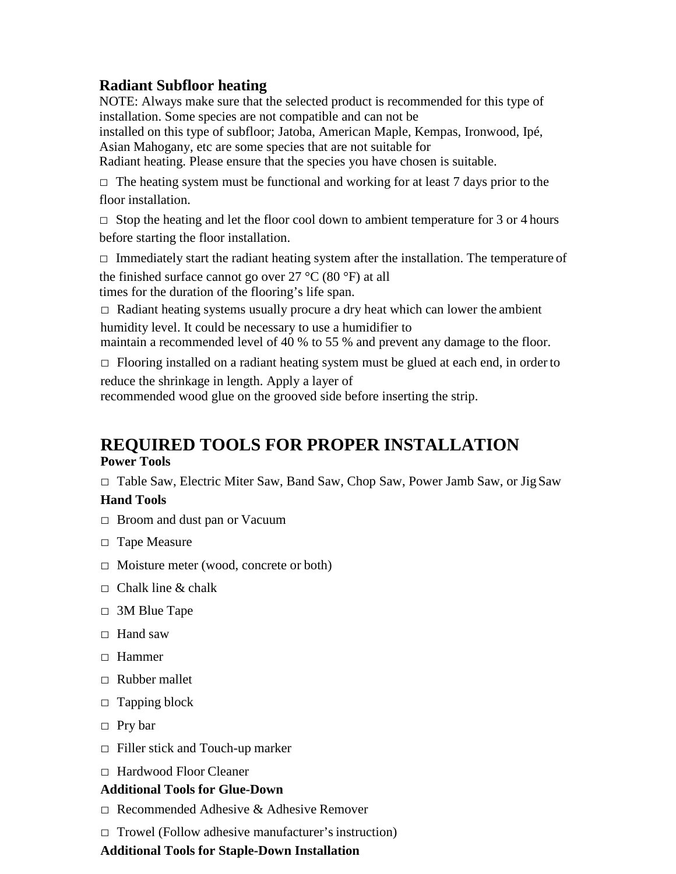#### **Radiant Subfloor heating**

NOTE: Always make sure that the selected product is recommended for this type of installation. Some species are not compatible and can not be

installed on this type of subfloor; Jatoba, American Maple, Kempas, Ironwood, Ipé, Asian Mahogany, etc are some species that are not suitable for

Radiant heating. Please ensure that the species you have chosen is suitable.

 $\Box$  The heating system must be functional and working for at least 7 days prior to the floor installation.

 $\Box$  Stop the heating and let the floor cool down to ambient temperature for 3 or 4 hours before starting the floor installation.

 $\Box$  Immediately start the radiant heating system after the installation. The temperature of the finished surface cannot go over 27  $^{\circ}$ C (80  $^{\circ}$ F) at all

times for the duration of the flooring's life span.

 $\Box$  Radiant heating systems usually procure a dry heat which can lower the ambient humidity level. It could be necessary to use a humidifier to

maintain a recommended level of 40 % to 55 % and prevent any damage to the floor.

 $\Box$  Flooring installed on a radiant heating system must be glued at each end, in order to

reduce the shrinkage in length. Apply a layer of recommended wood glue on the grooved side before inserting the strip.

# **REQUIRED TOOLS FOR PROPER INSTALLATION**

**Power Tools**

□ Table Saw, Electric Miter Saw, Band Saw, Chop Saw, Power Jamb Saw, or Jig Saw

#### **Hand Tools**

- □ Broom and dust pan or Vacuum
- □ Tape Measure
- □ Moisture meter (wood, concrete or both)
- $\Box$  Chalk line & chalk
- □ 3M Blue Tape
- □ Hand saw
- □ Hammer
- □ Rubber mallet
- $\Box$  Tapping block
- □ Pry bar
- $\Box$  Filler stick and Touch-up marker
- □ Hardwood Floor Cleaner

#### **Additional Tools for Glue-Down**

- $\Box$  Recommended Adhesive & Adhesive Remover
- $\Box$  Trowel (Follow adhesive manufacturer's instruction)

#### **Additional Tools for Staple-Down Installation**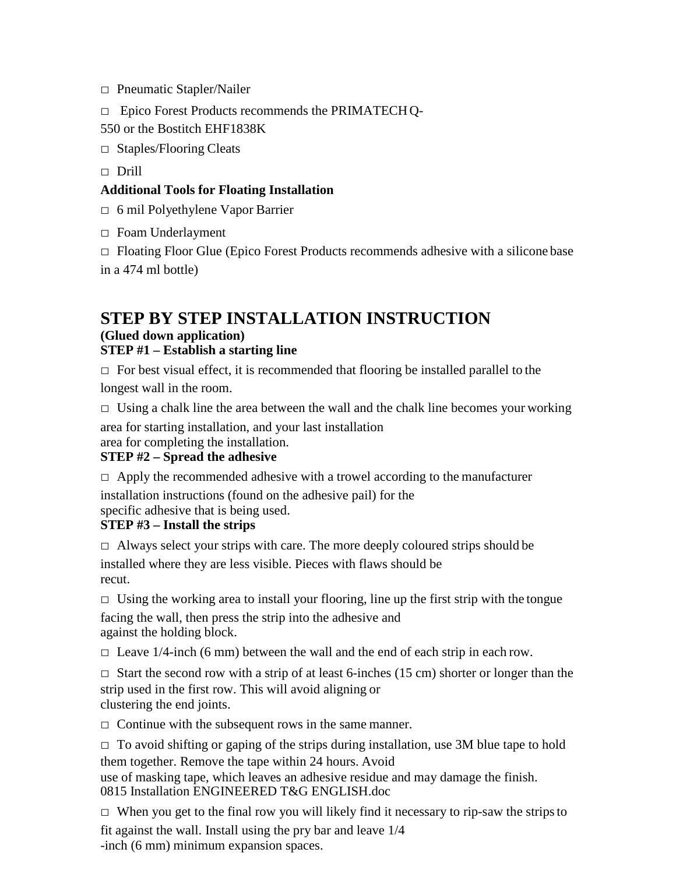- □ Pneumatic Stapler/Nailer
- □ Epico Forest Products recommends the PRIMATECHQ-
- 550 or the Bostitch EHF1838K
- □ Staples/Flooring Cleats
- □ Drill

#### **Additional Tools for Floating Installation**

- □ 6 mil Polyethylene Vapor Barrier
- □ Foam Underlayment

 $\Box$  Floating Floor Glue (Epico Forest Products recommends adhesive with a silicone base in a 474 ml bottle)

#### **STEP BY STEP INSTALLATION INSTRUCTION (Glued down application) STEP #1 – Establish a starting line**

 $\Box$  For best visual effect, it is recommended that flooring be installed parallel to the longest wall in the room.

 $\Box$  Using a chalk line the area between the wall and the chalk line becomes your working

area for starting installation, and your last installation

area for completing the installation.

#### **STEP #2 – Spread the adhesive**

 $\Box$  Apply the recommended adhesive with a trowel according to the manufacturer

installation instructions (found on the adhesive pail) for the specific adhesive that is being used.

#### **STEP #3 – Install the strips**

 $\Box$  Always select your strips with care. The more deeply coloured strips should be

installed where they are less visible. Pieces with flaws should be recut.

 $\Box$  Using the working area to install your flooring, line up the first strip with the tongue facing the wall, then press the strip into the adhesive and against the holding block.

 $\Box$  Leave 1/4-inch (6 mm) between the wall and the end of each strip in each row.

 $\Box$  Start the second row with a strip of at least 6-inches (15 cm) shorter or longer than the strip used in the first row. This will avoid aligning or clustering the end joints.

 $\Box$  Continue with the subsequent rows in the same manner.

 $\Box$  To avoid shifting or gaping of the strips during installation, use 3M blue tape to hold them together. Remove the tape within 24 hours. Avoid use of masking tape, which leaves an adhesive residue and may damage the finish. 0815 Installation ENGINEERED T&G ENGLISH.doc

 $\Box$  When you get to the final row you will likely find it necessary to rip-saw the strips to fit against the wall. Install using the pry bar and leave 1/4 -inch (6 mm) minimum expansion spaces.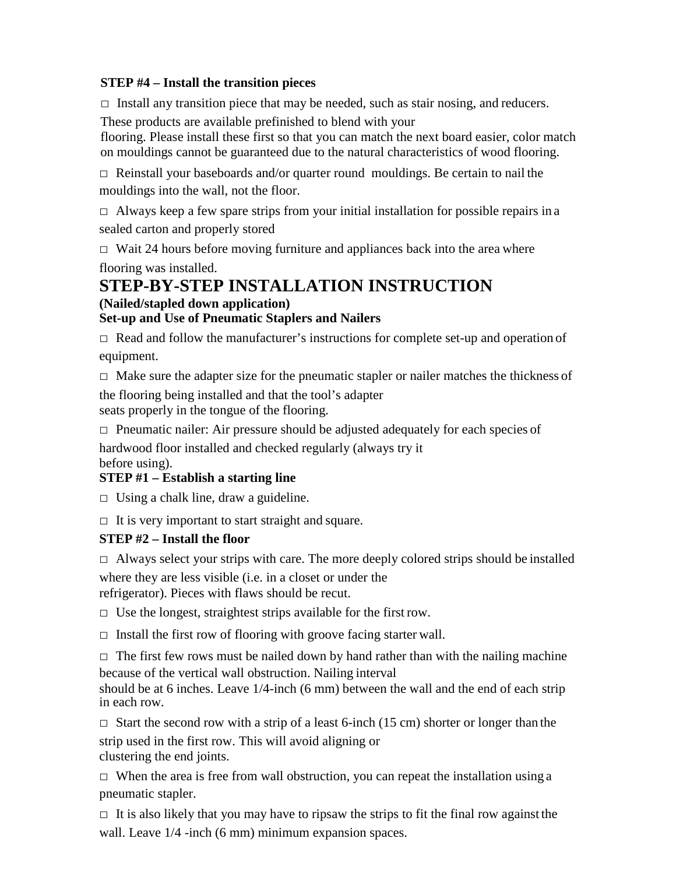#### **STEP #4 – Install the transition pieces**

 $\Box$  Install any transition piece that may be needed, such as stair nosing, and reducers.

These products are available prefinished to blend with your

flooring. Please install these first so that you can match the next board easier, color match on mouldings cannot be guaranteed due to the natural characteristics of wood flooring.

 $\Box$  Reinstall your baseboards and/or quarter round mouldings. Be certain to nail the mouldings into the wall, not the floor.

 $\Box$  Always keep a few spare strips from your initial installation for possible repairs in a sealed carton and properly stored

 $\Box$  Wait 24 hours before moving furniture and appliances back into the area where flooring was installed.

#### **STEP-BY-STEP INSTALLATION INSTRUCTION (Nailed/stapled down application) Set-up and Use of Pneumatic Staplers and Nailers**

 $\Box$  Read and follow the manufacturer's instructions for complete set-up and operation of equipment.

 $\Box$  Make sure the adapter size for the pneumatic stapler or nailer matches the thickness of the flooring being installed and that the tool's adapter seats properly in the tongue of the flooring.

 $\Box$  Pneumatic nailer: Air pressure should be adjusted adequately for each species of

hardwood floor installed and checked regularly (always try it before using).

#### **STEP #1 – Establish a starting line**

 $\Box$  Using a chalk line, draw a guideline.

 $\Box$  It is very important to start straight and square.

#### **STEP #2 – Install the floor**

 $\Box$  Always select your strips with care. The more deeply colored strips should be installed

where they are less visible (i.e. in a closet or under the

refrigerator). Pieces with flaws should be recut.

 $\Box$  Use the longest, straightest strips available for the first row.

 $\Box$  Install the first row of flooring with groove facing starter wall.

 $\Box$  The first few rows must be nailed down by hand rather than with the nailing machine because of the vertical wall obstruction. Nailing interval

should be at 6 inches. Leave 1/4-inch (6 mm) between the wall and the end of each strip in each row.

 $\Box$  Start the second row with a strip of a least 6-inch (15 cm) shorter or longer than the strip used in the first row. This will avoid aligning or clustering the end joints.

 $\Box$  When the area is free from wall obstruction, you can repeat the installation using a pneumatic stapler.

 $\Box$  It is also likely that you may have to ripsaw the strips to fit the final row against the wall. Leave  $1/4$  -inch (6 mm) minimum expansion spaces.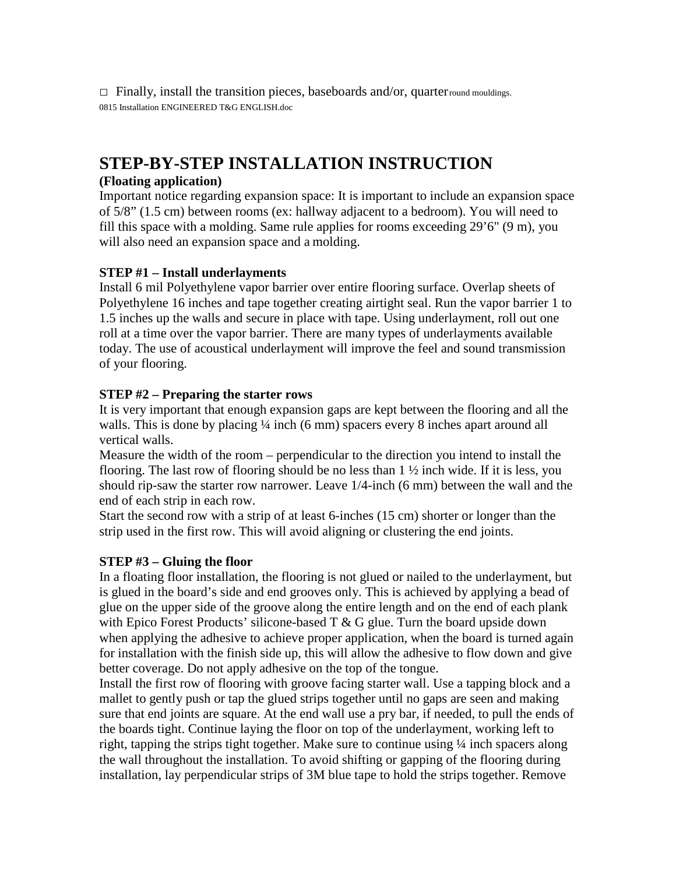$\Box$  Finally, install the transition pieces, baseboards and/or, quarter round mouldings. 0815 Installation ENGINEERED T&G ENGLISH.doc

## **STEP-BY-STEP INSTALLATION INSTRUCTION**

#### **(Floating application)**

Important notice regarding expansion space: It is important to include an expansion space of 5/8" (1.5 cm) between rooms (ex: hallway adjacent to a bedroom). You will need to fill this space with a molding. Same rule applies for rooms exceeding 29'6" (9 m), you will also need an expansion space and a molding.

#### **STEP #1 – Install underlayments**

Install 6 mil Polyethylene vapor barrier over entire flooring surface. Overlap sheets of Polyethylene 16 inches and tape together creating airtight seal. Run the vapor barrier 1 to 1.5 inches up the walls and secure in place with tape. Using underlayment, roll out one roll at a time over the vapor barrier. There are many types of underlayments available today. The use of acoustical underlayment will improve the feel and sound transmission of your flooring.

#### **STEP #2 – Preparing the starter rows**

It is very important that enough expansion gaps are kept between the flooring and all the walls. This is done by placing  $\frac{1}{4}$  inch (6 mm) spacers every 8 inches apart around all vertical walls.

Measure the width of the room – perpendicular to the direction you intend to install the flooring. The last row of flooring should be no less than 1 ½ inch wide. If it is less, you should rip-saw the starter row narrower. Leave 1/4-inch (6 mm) between the wall and the end of each strip in each row.

Start the second row with a strip of at least 6-inches (15 cm) shorter or longer than the strip used in the first row. This will avoid aligning or clustering the end joints.

#### **STEP #3 – Gluing the floor**

In a floating floor installation, the flooring is not glued or nailed to the underlayment, but is glued in the board's side and end grooves only. This is achieved by applying a bead of glue on the upper side of the groove along the entire length and on the end of each plank with Epico Forest Products' silicone-based  $T \& G$  glue. Turn the board upside down when applying the adhesive to achieve proper application, when the board is turned again for installation with the finish side up, this will allow the adhesive to flow down and give better coverage. Do not apply adhesive on the top of the tongue.

Install the first row of flooring with groove facing starter wall. Use a tapping block and a mallet to gently push or tap the glued strips together until no gaps are seen and making sure that end joints are square. At the end wall use a pry bar, if needed, to pull the ends of the boards tight. Continue laying the floor on top of the underlayment, working left to right, tapping the strips tight together. Make sure to continue using ¼ inch spacers along the wall throughout the installation. To avoid shifting or gapping of the flooring during installation, lay perpendicular strips of 3M blue tape to hold the strips together. Remove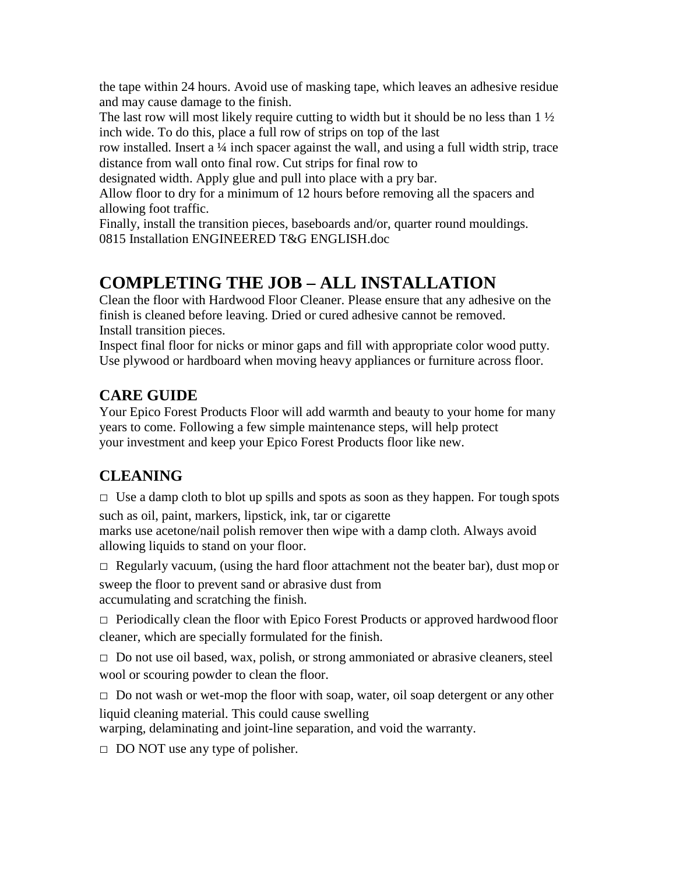the tape within 24 hours. Avoid use of masking tape, which leaves an adhesive residue and may cause damage to the finish.

The last row will most likely require cutting to width but it should be no less than  $1\frac{1}{2}$ inch wide. To do this, place a full row of strips on top of the last

row installed. Insert a ¼ inch spacer against the wall, and using a full width strip, trace distance from wall onto final row. Cut strips for final row to

designated width. Apply glue and pull into place with a pry bar.

Allow floor to dry for a minimum of 12 hours before removing all the spacers and allowing foot traffic.

Finally, install the transition pieces, baseboards and/or, quarter round mouldings. 0815 Installation ENGINEERED T&G ENGLISH.doc

# **COMPLETING THE JOB – ALL INSTALLATION**

Clean the floor with Hardwood Floor Cleaner. Please ensure that any adhesive on the finish is cleaned before leaving. Dried or cured adhesive cannot be removed. Install transition pieces.

Inspect final floor for nicks or minor gaps and fill with appropriate color wood putty. Use plywood or hardboard when moving heavy appliances or furniture across floor.

## **CARE GUIDE**

Your Epico Forest Products Floor will add warmth and beauty to your home for many years to come. Following a few simple maintenance steps, will help protect your investment and keep your Epico Forest Products floor like new.

## **CLEANING**

 $\Box$  Use a damp cloth to blot up spills and spots as soon as they happen. For tough spots

such as oil, paint, markers, lipstick, ink, tar or cigarette marks use acetone/nail polish remover then wipe with a damp cloth. Always avoid allowing liquids to stand on your floor.

 $\Box$  Regularly vacuum, (using the hard floor attachment not the beater bar), dust mop or

sweep the floor to prevent sand or abrasive dust from accumulating and scratching the finish.

 $\Box$  Periodically clean the floor with Epico Forest Products or approved hardwood floor cleaner, which are specially formulated for the finish.

 $\Box$  Do not use oil based, wax, polish, or strong ammoniated or abrasive cleaners, steel wool or scouring powder to clean the floor.

 $\Box$  Do not wash or wet-mop the floor with soap, water, oil soap detergent or any other liquid cleaning material. This could cause swelling

warping, delaminating and joint-line separation, and void the warranty.

 $\Box$  DO NOT use any type of polisher.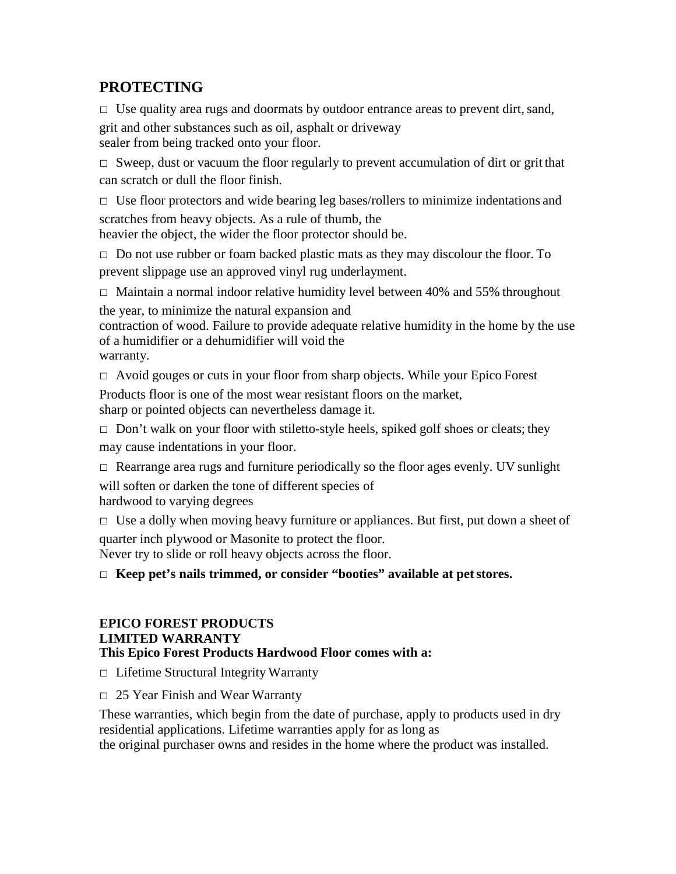## **PROTECTING**

 $\Box$  Use quality area rugs and doormats by outdoor entrance areas to prevent dirt, sand,

grit and other substances such as oil, asphalt or driveway sealer from being tracked onto your floor.

 $\Box$  Sweep, dust or vacuum the floor regularly to prevent accumulation of dirt or grit that can scratch or dull the floor finish.

 $\Box$  Use floor protectors and wide bearing leg bases/rollers to minimize indentations and scratches from heavy objects. As a rule of thumb, the heavier the object, the wider the floor protector should be.

 $\Box$  Do not use rubber or foam backed plastic mats as they may discolour the floor. To prevent slippage use an approved vinyl rug underlayment.

 $\Box$  Maintain a normal indoor relative humidity level between 40% and 55% throughout the year, to minimize the natural expansion and

contraction of wood. Failure to provide adequate relative humidity in the home by the use of a humidifier or a dehumidifier will void the

warranty.

□ Avoid gouges or cuts in your floor from sharp objects. While your Epico Forest

Products floor is one of the most wear resistant floors on the market, sharp or pointed objects can nevertheless damage it.

 $\Box$  Don't walk on your floor with stiletto-style heels, spiked golf shoes or cleats; they may cause indentations in your floor.

 $\Box$  Rearrange area rugs and furniture periodically so the floor ages evenly. UV sunlight

will soften or darken the tone of different species of hardwood to varying degrees

 $\Box$  Use a dolly when moving heavy furniture or appliances. But first, put down a sheet of

quarter inch plywood or Masonite to protect the floor. Never try to slide or roll heavy objects across the floor.

□ **Keep pet's nails trimmed, or consider "booties" available at petstores.**

#### **EPICO FOREST PRODUCTS LIMITED WARRANTY This Epico Forest Products Hardwood Floor comes with a:**

□ Lifetime Structural Integrity Warranty

□ 25 Year Finish and Wear Warranty

These warranties, which begin from the date of purchase, apply to products used in dry residential applications. Lifetime warranties apply for as long as the original purchaser owns and resides in the home where the product was installed.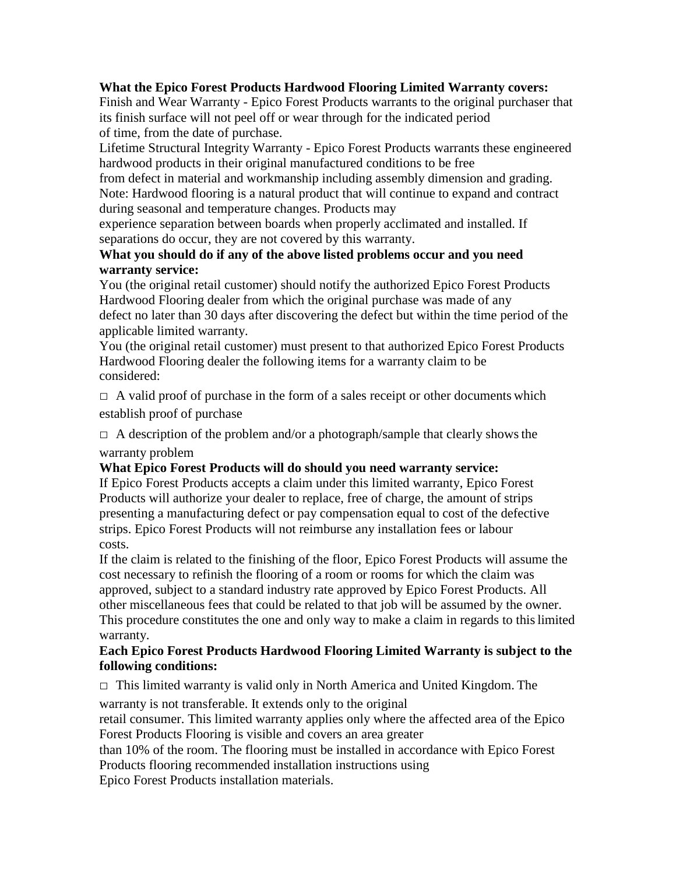#### **What the Epico Forest Products Hardwood Flooring Limited Warranty covers:**

Finish and Wear Warranty - Epico Forest Products warrants to the original purchaser that its finish surface will not peel off or wear through for the indicated period of time, from the date of purchase.

Lifetime Structural Integrity Warranty - Epico Forest Products warrants these engineered hardwood products in their original manufactured conditions to be free

from defect in material and workmanship including assembly dimension and grading. Note: Hardwood flooring is a natural product that will continue to expand and contract during seasonal and temperature changes. Products may

experience separation between boards when properly acclimated and installed. If separations do occur, they are not covered by this warranty.

#### **What you should do if any of the above listed problems occur and you need warranty service:**

You (the original retail customer) should notify the authorized Epico Forest Products Hardwood Flooring dealer from which the original purchase was made of any defect no later than 30 days after discovering the defect but within the time period of the applicable limited warranty.

You (the original retail customer) must present to that authorized Epico Forest Products Hardwood Flooring dealer the following items for a warranty claim to be considered:

 $\Box$  A valid proof of purchase in the form of a sales receipt or other documents which establish proof of purchase

 $\Box$  A description of the problem and/or a photograph/sample that clearly shows the

#### warranty problem

#### **What Epico Forest Products will do should you need warranty service:**

If Epico Forest Products accepts a claim under this limited warranty, Epico Forest Products will authorize your dealer to replace, free of charge, the amount of strips presenting a manufacturing defect or pay compensation equal to cost of the defective strips. Epico Forest Products will not reimburse any installation fees or labour costs.

If the claim is related to the finishing of the floor, Epico Forest Products will assume the cost necessary to refinish the flooring of a room or rooms for which the claim was approved, subject to a standard industry rate approved by Epico Forest Products. All other miscellaneous fees that could be related to that job will be assumed by the owner. This procedure constitutes the one and only way to make a claim in regards to this limited warranty.

#### **Each Epico Forest Products Hardwood Flooring Limited Warranty is subject to the following conditions:**

 $\Box$  This limited warranty is valid only in North America and United Kingdom. The

warranty is not transferable. It extends only to the original

retail consumer. This limited warranty applies only where the affected area of the Epico Forest Products Flooring is visible and covers an area greater

than 10% of the room. The flooring must be installed in accordance with Epico Forest Products flooring recommended installation instructions using

Epico Forest Products installation materials.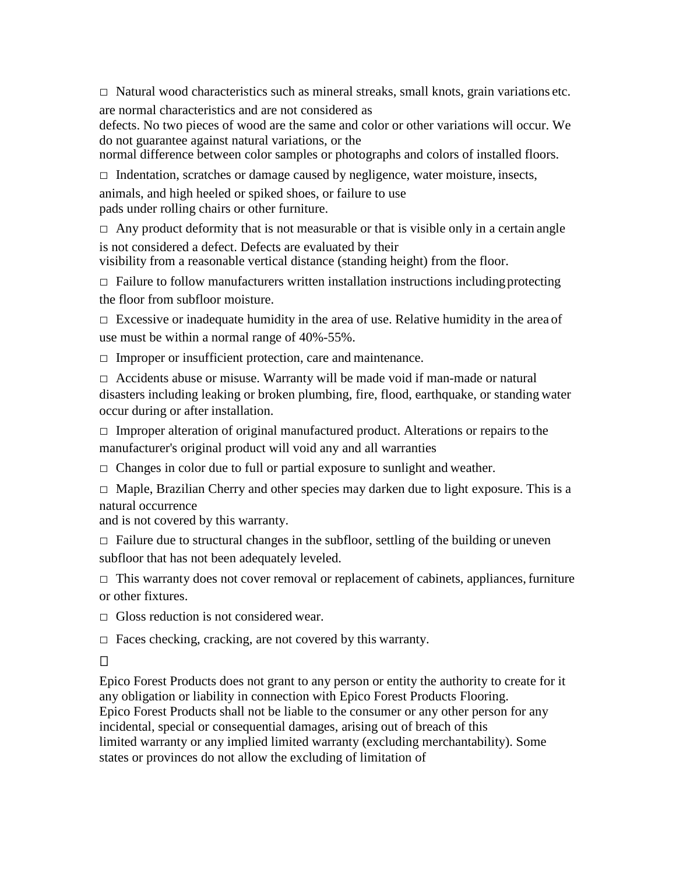$\Box$  Natural wood characteristics such as mineral streaks, small knots, grain variations etc. are normal characteristics and are not considered as

defects. No two pieces of wood are the same and color or other variations will occur. We do not guarantee against natural variations, or the

normal difference between color samples or photographs and colors of installed floors.

 $\Box$  Indentation, scratches or damage caused by negligence, water moisture, insects,

animals, and high heeled or spiked shoes, or failure to use pads under rolling chairs or other furniture.

 $\Box$  Any product deformity that is not measurable or that is visible only in a certain angle is not considered a defect. Defects are evaluated by their

visibility from a reasonable vertical distance (standing height) from the floor.

 $\Box$  Failure to follow manufacturers written installation instructions including protecting the floor from subfloor moisture.

 $\Box$  Excessive or inadequate humidity in the area of use. Relative humidity in the area of use must be within a normal range of 40%-55%.

 $\Box$  Improper or insufficient protection, care and maintenance.

 $\Box$  Accidents abuse or misuse. Warranty will be made void if man-made or natural disasters including leaking or broken plumbing, fire, flood, earthquake, or standing water occur during or after installation.

 $\Box$  Improper alteration of original manufactured product. Alterations or repairs to the manufacturer's original product will void any and all warranties

 $\Box$  Changes in color due to full or partial exposure to sunlight and weather.

 $\Box$  Maple, Brazilian Cherry and other species may darken due to light exposure. This is a natural occurrence

and is not covered by this warranty.

 $\Box$  Failure due to structural changes in the subfloor, settling of the building or uneven subfloor that has not been adequately leveled.

 $\Box$  This warranty does not cover removal or replacement of cabinets, appliances, furniture or other fixtures.

 $\Box$  Gloss reduction is not considered wear.

 $\Box$  Faces checking, cracking, are not covered by this warranty.

 $\Box$ 

Epico Forest Products does not grant to any person or entity the authority to create for it any obligation or liability in connection with Epico Forest Products Flooring. Epico Forest Products shall not be liable to the consumer or any other person for any incidental, special or consequential damages, arising out of breach of this limited warranty or any implied limited warranty (excluding merchantability). Some states or provinces do not allow the excluding of limitation of